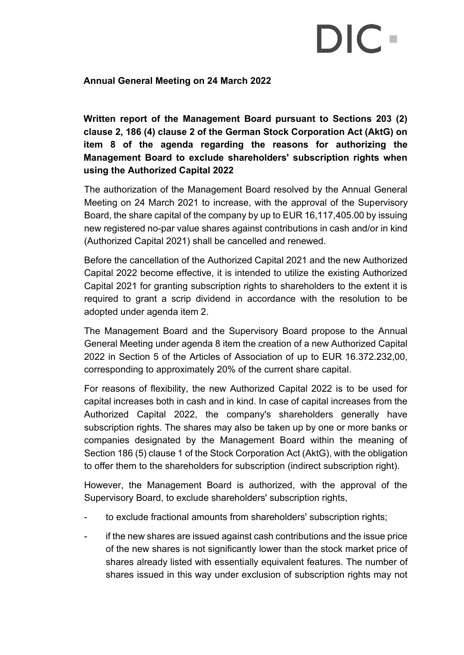## DIC.

## **Annual General Meeting on 24 March 2022**

**Written report of the Management Board pursuant to Sections 203 (2) clause 2, 186 (4) clause 2 of the German Stock Corporation Act (AktG) on item 8 of the agenda regarding the reasons for authorizing the Management Board to exclude shareholders' subscription rights when using the Authorized Capital 2022**

The authorization of the Management Board resolved by the Annual General Meeting on 24 March 2021 to increase, with the approval of the Supervisory Board, the share capital of the company by up to EUR 16,117,405.00 by issuing new registered no-par value shares against contributions in cash and/or in kind (Authorized Capital 2021) shall be cancelled and renewed.

Before the cancellation of the Authorized Capital 2021 and the new Authorized Capital 2022 become effective, it is intended to utilize the existing Authorized Capital 2021 for granting subscription rights to shareholders to the extent it is required to grant a scrip dividend in accordance with the resolution to be adopted under agenda item 2.

The Management Board and the Supervisory Board propose to the Annual General Meeting under agenda 8 item the creation of a new Authorized Capital 2022 in Section 5 of the Articles of Association of up to EUR 16.372.232,00, corresponding to approximately 20% of the current share capital.

For reasons of flexibility, the new Authorized Capital 2022 is to be used for capital increases both in cash and in kind. In case of capital increases from the Authorized Capital 2022, the company's shareholders generally have subscription rights. The shares may also be taken up by one or more banks or companies designated by the Management Board within the meaning of Section 186 (5) clause 1 of the Stock Corporation Act (AktG), with the obligation to offer them to the shareholders for subscription (indirect subscription right).

However, the Management Board is authorized, with the approval of the Supervisory Board, to exclude shareholders' subscription rights,

- to exclude fractional amounts from shareholders' subscription rights;
- if the new shares are issued against cash contributions and the issue price of the new shares is not significantly lower than the stock market price of shares already listed with essentially equivalent features. The number of shares issued in this way under exclusion of subscription rights may not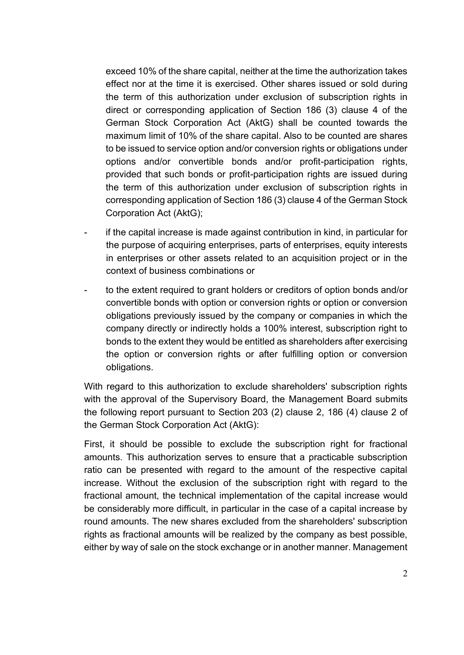exceed 10% of the share capital, neither at the time the authorization takes effect nor at the time it is exercised. Other shares issued or sold during the term of this authorization under exclusion of subscription rights in direct or corresponding application of Section 186 (3) clause 4 of the German Stock Corporation Act (AktG) shall be counted towards the maximum limit of 10% of the share capital. Also to be counted are shares to be issued to service option and/or conversion rights or obligations under options and/or convertible bonds and/or profit-participation rights, provided that such bonds or profit-participation rights are issued during the term of this authorization under exclusion of subscription rights in corresponding application of Section 186 (3) clause 4 of the German Stock Corporation Act (AktG);

- if the capital increase is made against contribution in kind, in particular for the purpose of acquiring enterprises, parts of enterprises, equity interests in enterprises or other assets related to an acquisition project or in the context of business combinations or
- to the extent required to grant holders or creditors of option bonds and/or convertible bonds with option or conversion rights or option or conversion obligations previously issued by the company or companies in which the company directly or indirectly holds a 100% interest, subscription right to bonds to the extent they would be entitled as shareholders after exercising the option or conversion rights or after fulfilling option or conversion obligations.

With regard to this authorization to exclude shareholders' subscription rights with the approval of the Supervisory Board, the Management Board submits the following report pursuant to Section 203 (2) clause 2, 186 (4) clause 2 of the German Stock Corporation Act (AktG):

First, it should be possible to exclude the subscription right for fractional amounts. This authorization serves to ensure that a practicable subscription ratio can be presented with regard to the amount of the respective capital increase. Without the exclusion of the subscription right with regard to the fractional amount, the technical implementation of the capital increase would be considerably more difficult, in particular in the case of a capital increase by round amounts. The new shares excluded from the shareholders' subscription rights as fractional amounts will be realized by the company as best possible, either by way of sale on the stock exchange or in another manner. Management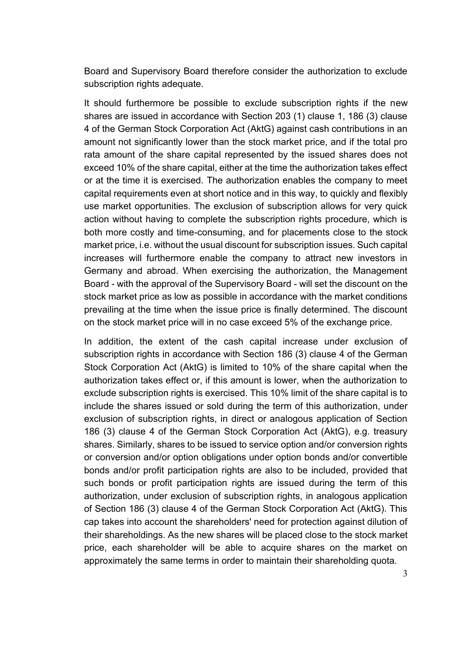Board and Supervisory Board therefore consider the authorization to exclude subscription rights adequate.

It should furthermore be possible to exclude subscription rights if the new shares are issued in accordance with Section 203 (1) clause 1, 186 (3) clause 4 of the German Stock Corporation Act (AktG) against cash contributions in an amount not significantly lower than the stock market price, and if the total pro rata amount of the share capital represented by the issued shares does not exceed 10% of the share capital, either at the time the authorization takes effect or at the time it is exercised. The authorization enables the company to meet capital requirements even at short notice and in this way, to quickly and flexibly use market opportunities. The exclusion of subscription allows for very quick action without having to complete the subscription rights procedure, which is both more costly and time-consuming, and for placements close to the stock market price, i.e. without the usual discount for subscription issues. Such capital increases will furthermore enable the company to attract new investors in Germany and abroad. When exercising the authorization, the Management Board - with the approval of the Supervisory Board - will set the discount on the stock market price as low as possible in accordance with the market conditions prevailing at the time when the issue price is finally determined. The discount on the stock market price will in no case exceed 5% of the exchange price.

In addition, the extent of the cash capital increase under exclusion of subscription rights in accordance with Section 186 (3) clause 4 of the German Stock Corporation Act (AktG) is limited to 10% of the share capital when the authorization takes effect or, if this amount is lower, when the authorization to exclude subscription rights is exercised. This 10% limit of the share capital is to include the shares issued or sold during the term of this authorization, under exclusion of subscription rights, in direct or analogous application of Section 186 (3) clause 4 of the German Stock Corporation Act (AktG), e.g. treasury shares. Similarly, shares to be issued to service option and/or conversion rights or conversion and/or option obligations under option bonds and/or convertible bonds and/or profit participation rights are also to be included, provided that such bonds or profit participation rights are issued during the term of this authorization, under exclusion of subscription rights, in analogous application of Section 186 (3) clause 4 of the German Stock Corporation Act (AktG). This cap takes into account the shareholders' need for protection against dilution of their shareholdings. As the new shares will be placed close to the stock market price, each shareholder will be able to acquire shares on the market on approximately the same terms in order to maintain their shareholding quota.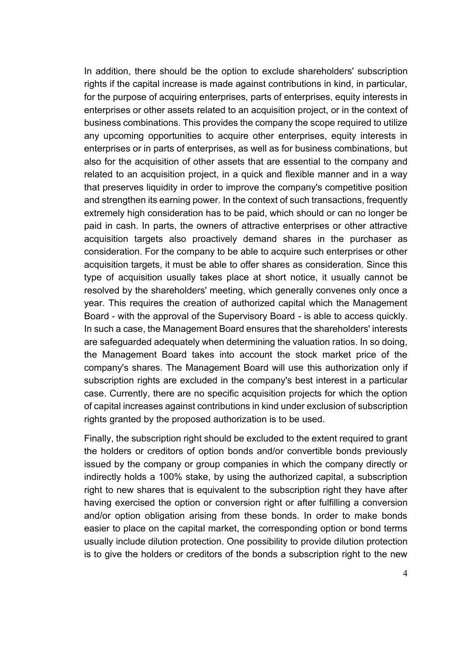In addition, there should be the option to exclude shareholders' subscription rights if the capital increase is made against contributions in kind, in particular, for the purpose of acquiring enterprises, parts of enterprises, equity interests in enterprises or other assets related to an acquisition project, or in the context of business combinations. This provides the company the scope required to utilize any upcoming opportunities to acquire other enterprises, equity interests in enterprises or in parts of enterprises, as well as for business combinations, but also for the acquisition of other assets that are essential to the company and related to an acquisition project, in a quick and flexible manner and in a way that preserves liquidity in order to improve the company's competitive position and strengthen its earning power. In the context of such transactions, frequently extremely high consideration has to be paid, which should or can no longer be paid in cash. In parts, the owners of attractive enterprises or other attractive acquisition targets also proactively demand shares in the purchaser as consideration. For the company to be able to acquire such enterprises or other acquisition targets, it must be able to offer shares as consideration. Since this type of acquisition usually takes place at short notice, it usually cannot be resolved by the shareholders' meeting, which generally convenes only once a year. This requires the creation of authorized capital which the Management Board - with the approval of the Supervisory Board - is able to access quickly. In such a case, the Management Board ensures that the shareholders' interests are safeguarded adequately when determining the valuation ratios. In so doing, the Management Board takes into account the stock market price of the company's shares. The Management Board will use this authorization only if subscription rights are excluded in the company's best interest in a particular case. Currently, there are no specific acquisition projects for which the option of capital increases against contributions in kind under exclusion of subscription rights granted by the proposed authorization is to be used.

Finally, the subscription right should be excluded to the extent required to grant the holders or creditors of option bonds and/or convertible bonds previously issued by the company or group companies in which the company directly or indirectly holds a 100% stake, by using the authorized capital, a subscription right to new shares that is equivalent to the subscription right they have after having exercised the option or conversion right or after fulfilling a conversion and/or option obligation arising from these bonds. In order to make bonds easier to place on the capital market, the corresponding option or bond terms usually include dilution protection. One possibility to provide dilution protection is to give the holders or creditors of the bonds a subscription right to the new